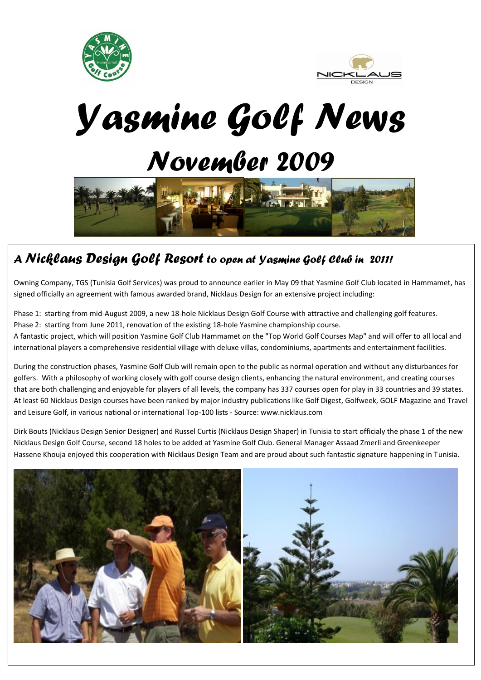



*Yasmine Golf News November 2009*



## *A Nicklaus Design Golf Resort to open at Yasmine Golf Club in 2011!*

Owning Company, TGS (Tunisia Golf Services) was proud to announce earlier in May 09 that Yasmine Golf Club located in Hammamet, has signed officially an agreement with famous awarded brand, Nicklaus Design for an extensive project including:

Phase 1: starting from mid-August 2009, a new 18-hole Nicklaus Design Golf Course with attractive and challenging golf features. Phase 2: starting from June 2011, renovation of the existing 18-hole Yasmine championship course. A fantastic project, which will position Yasmine Golf Club Hammamet on the "Top World Golf Courses Map" and will offer to all local and international players a comprehensive residential village with deluxe villas, condominiums, apartments and entertainment facilities.

During the construction phases, Yasmine Golf Club will remain open to the public as normal operation and without any disturbances for golfers. With a philosophy of working closely with golf course design clients, enhancing the natural environment, and creating courses that are both challenging and enjoyable for players of all levels, the company has 337 courses open for play in 33 countries and 39 states. At least 60 Nicklaus Design courses have been ranked by major industry publications like Golf Digest, Golfweek, GOLF Magazine and Travel and Leisure Golf, in various national or international Top-100 lists - Source: www.nicklaus.com

Dirk Bouts (Nicklaus Design Senior Designer) and Russel Curtis (Nicklaus Design Shaper) in Tunisia to start officialy the phase 1 of the new Nicklaus Design Golf Course, second 18 holes to be added at Yasmine Golf Club. General Manager Assaad Zmerli and Greenkeeper Hassene Khouja enjoyed this cooperation with Nicklaus Design Team and are proud about such fantastic signature happening in Tunisia.